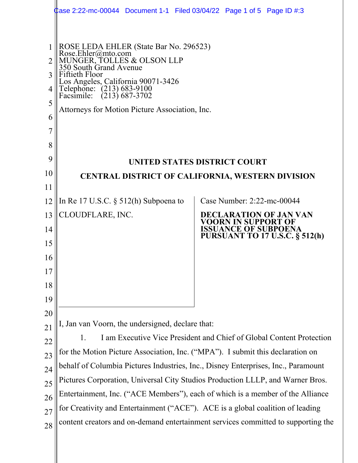| 3<br>4<br>5<br>6<br>8 | ROSE LEDA EHLER (State Bar No. 296523)<br>Rose.Ehler@mto.com<br>MUNGER, TOLLES & OLSON LLP<br>350 South Grand Avenue<br>Fiftieth Floor<br>Los Angeles, California 90071-3426<br>Telephone: (213) 683-9100<br>$(213)$ 687-3702<br>Facsimile:<br>Attorneys for Motion Picture Association, Inc. |                                                                                                                              |  |  |  |  |
|-----------------------|-----------------------------------------------------------------------------------------------------------------------------------------------------------------------------------------------------------------------------------------------------------------------------------------------|------------------------------------------------------------------------------------------------------------------------------|--|--|--|--|
| 9                     |                                                                                                                                                                                                                                                                                               | UNITED STATES DISTRICT COURT                                                                                                 |  |  |  |  |
| 10                    | <b>CENTRAL DISTRICT OF CALIFORNIA, WESTERN DIVISION</b>                                                                                                                                                                                                                                       |                                                                                                                              |  |  |  |  |
| 11                    |                                                                                                                                                                                                                                                                                               |                                                                                                                              |  |  |  |  |
| 12                    | In Re 17 U.S.C. $\S$ 512(h) Subpoena to                                                                                                                                                                                                                                                       | Case Number: 2:22-mc-00044                                                                                                   |  |  |  |  |
| 13<br>14              | CLOUDFLARE, INC.                                                                                                                                                                                                                                                                              | <b>DECLARATION OF JAN VAN</b><br>VOORN IN SUPPORT OF<br><b>ISSUANCE OF SUBPOENA</b><br><b>PURSUANT TO 17 U.S.C. § 512(h)</b> |  |  |  |  |
| 15                    |                                                                                                                                                                                                                                                                                               |                                                                                                                              |  |  |  |  |
| 16                    |                                                                                                                                                                                                                                                                                               |                                                                                                                              |  |  |  |  |
| 17                    |                                                                                                                                                                                                                                                                                               |                                                                                                                              |  |  |  |  |
| 18                    |                                                                                                                                                                                                                                                                                               |                                                                                                                              |  |  |  |  |
| 19                    |                                                                                                                                                                                                                                                                                               |                                                                                                                              |  |  |  |  |
| 20<br>21              | I, Jan van Voorn, the undersigned, declare that:                                                                                                                                                                                                                                              |                                                                                                                              |  |  |  |  |
| 22                    | I am Executive Vice President and Chief of Global Content Protection<br>1.                                                                                                                                                                                                                    |                                                                                                                              |  |  |  |  |
| 23                    | for the Motion Picture Association, Inc. ("MPA"). I submit this declaration on                                                                                                                                                                                                                |                                                                                                                              |  |  |  |  |
| 24                    | behalf of Columbia Pictures Industries, Inc., Disney Enterprises, Inc., Paramount                                                                                                                                                                                                             |                                                                                                                              |  |  |  |  |
| 25                    | Pictures Corporation, Universal City Studios Production LLLP, and Warner Bros.                                                                                                                                                                                                                |                                                                                                                              |  |  |  |  |
| 26                    | Entertainment, Inc. ("ACE Members"), each of which is a member of the Alliance                                                                                                                                                                                                                |                                                                                                                              |  |  |  |  |
| 27                    | for Creativity and Entertainment ("ACE"). ACE is a global coalition of leading                                                                                                                                                                                                                |                                                                                                                              |  |  |  |  |
| 28                    |                                                                                                                                                                                                                                                                                               | content creators and on-demand entertainment services committed to supporting the                                            |  |  |  |  |
|                       |                                                                                                                                                                                                                                                                                               |                                                                                                                              |  |  |  |  |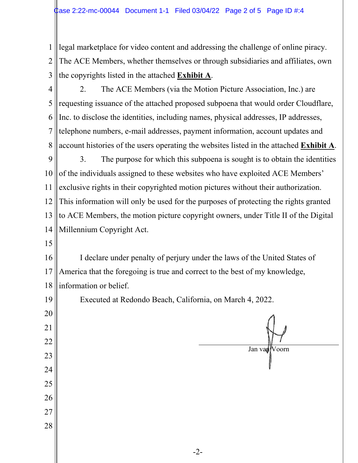1 2 3 legal marketplace for video content and addressing the challenge of online piracy. The ACE Members, whether themselves or through subsidiaries and affiliates, own the copyrights listed in the attached **Exhibit A**.

4 5 6 7 8 2. The ACE Members (via the Motion Picture Association, Inc.) are requesting issuance of the attached proposed subpoena that would order Cloudflare, Inc. to disclose the identities, including names, physical addresses, IP addresses, telephone numbers, e-mail addresses, payment information, account updates and account histories of the users operating the websites listed in the attached **Exhibit A**.

9 10 11 12 13 14 3. The purpose for which this subpoena is sought is to obtain the identities of the individuals assigned to these websites who have exploited ACE Members' exclusive rights in their copyrighted motion pictures without their authorization. This information will only be used for the purposes of protecting the rights granted to ACE Members, the motion picture copyright owners, under Title II of the Digital Millennium Copyright Act.

15

16 17 18 I declare under penalty of perjury under the laws of the United States of America that the foregoing is true and correct to the best of my knowledge, information or belief.

19 20 21 22 23 24 25 26 27 28 Executed at Redondo Beach, California, on March 4, 2022. Jan van Voorn

-2-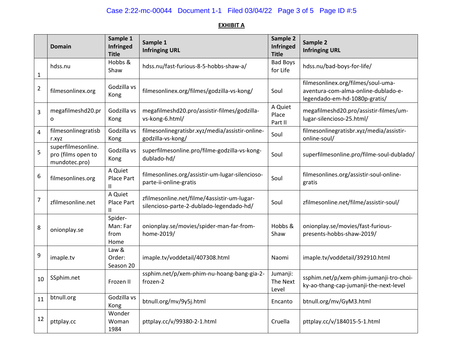## Case 2:22-mc-00044 Document 1-1 Filed 03/04/22 Page 3 of 5 Page ID #:5

## **EXHIBIT A**

|                | Domain                                                    | Sample 1<br><b>Infringed</b><br><b>Title</b> | Sample 1<br><b>Infringing URL</b>                                                       | Sample 2<br>Infringed<br><b>Title</b> | Sample 2<br><b>Infringing URL</b>                                                                          |
|----------------|-----------------------------------------------------------|----------------------------------------------|-----------------------------------------------------------------------------------------|---------------------------------------|------------------------------------------------------------------------------------------------------------|
| $\mathbf{1}$   | hdss.nu                                                   | Hobbs &<br>Shaw                              | hdss.nu/fast-furious-8-5-hobbs-shaw-a/                                                  | <b>Bad Boys</b><br>for Life           | hdss.nu/bad-boys-for-life/                                                                                 |
| $\overline{2}$ | filmesonlinex.org                                         | Godzilla vs<br>Kong                          | filmesonlinex.org/filmes/godzilla-vs-kong/                                              | Soul                                  | filmesonlinex.org/filmes/soul-uma-<br>aventura-com-alma-online-dublado-e-<br>legendado-em-hd-1080p-gratis/ |
| 3              | megafilmeshd20.pr<br>$\Omega$                             | Godzilla vs<br>Kong                          | megafilmeshd20.pro/assistir-filmes/godzilla-<br>vs-kong-6.html/                         | A Quiet<br>Place<br>Part II           | megafilmeshd20.pro/assistir-filmes/um-<br>lugar-silencioso-25.html/                                        |
| $\overline{4}$ | filmesonlinegratisb<br>r.xyz                              | Godzilla vs<br>Kong                          | filmesonlinegratisbr.xyz/media/assistir-online-<br>godzilla-vs-kong/                    | Soul                                  | filmesonlinegratisbr.xyz/media/assistir-<br>online-soul/                                                   |
| 5              | superfilmesonline.<br>pro (films open to<br>mundotec.pro) | Godzilla vs<br>Kong                          | superfilmesonline.pro/filme-godzilla-vs-kong-<br>dublado-hd/                            | Soul                                  | superfilmesonline.pro/filme-soul-dublado/                                                                  |
| 6              | filmesonlines.org                                         | A Quiet<br>Place Part<br>$\mathbf{H}$        | filmesonlines.org/assistir-um-lugar-silencioso-<br>parte-ii-online-gratis               | Soul                                  | filmesonlines.org/assistir-soul-online-<br>gratis                                                          |
| $\overline{7}$ | zfilmesonline.net                                         | A Quiet<br>Place Part<br>Ш                   | zfilmesonline.net/filme/4assistir-um-lugar-<br>silencioso-parte-2-dublado-legendado-hd/ | Soul                                  | zfilmesonline.net/filme/assistir-soul/                                                                     |
| 8              | onionplay.se                                              | Spider-<br>Man: Far<br>from<br>Home          | onionplay.se/movies/spider-man-far-from-<br>home-2019/                                  | Hobbs &<br>Shaw                       | onionplay.se/movies/fast-furious-<br>presents-hobbs-shaw-2019/                                             |
| 9              | imaple.tv                                                 | Law &<br>Order:<br>Season 20                 | imaple.tv/voddetail/407308.html                                                         | Naomi                                 | imaple.tv/voddetail/392910.html                                                                            |
| 10             | SSphim.net                                                | Frozen II                                    | ssphim.net/p/xem-phim-nu-hoang-bang-gia-2-<br>frozen-2                                  | Jumanji:<br>The Next<br>Level         | ssphim.net/p/xem-phim-jumanji-tro-choi-<br>ky-ao-thang-cap-jumanji-the-next-level                          |
| 11             | btnull.org                                                | Godzilla vs<br>Kong                          | btnull.org/mv/9y5j.html                                                                 | Encanto                               | btnull.org/mv/GyM3.html                                                                                    |
| 12             | pttplay.cc                                                | Wonder<br>Woman<br>1984                      | pttplay.cc/v/99380-2-1.html                                                             | Cruella                               | pttplay.cc/v/184015-5-1.html                                                                               |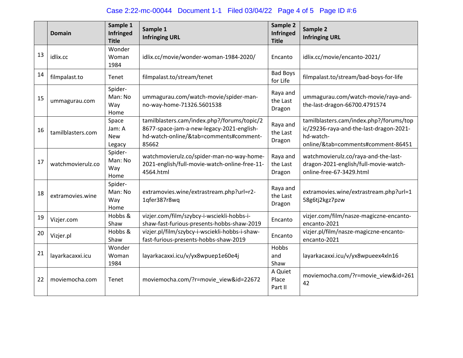## Case 2:22-mc-00044 Document 1-1 Filed 03/04/22 Page 4 of 5 Page ID #:6

|    | Domain            | Sample 1<br><b>Infringed</b><br><b>Title</b> | Sample 1<br><b>Infringing URL</b>                                                                                                           | Sample 2<br>Infringed<br><b>Title</b> | Sample 2<br><b>Infringing URL</b>                                                                                                     |
|----|-------------------|----------------------------------------------|---------------------------------------------------------------------------------------------------------------------------------------------|---------------------------------------|---------------------------------------------------------------------------------------------------------------------------------------|
| 13 | idlix.cc          | Wonder<br>Woman<br>1984                      | idlix.cc/movie/wonder-woman-1984-2020/                                                                                                      | Encanto                               | idlix.cc/movie/encanto-2021/                                                                                                          |
| 14 | filmpalast.to     | <b>Tenet</b>                                 | filmpalast.to/stream/tenet                                                                                                                  | <b>Bad Boys</b><br>for Life           | filmpalast.to/stream/bad-boys-for-life                                                                                                |
| 15 | ummagurau.com     | Spider-<br>Man: No<br>Way<br>Home            | ummagurau.com/watch-movie/spider-man-<br>no-way-home-71326.5601538                                                                          | Raya and<br>the Last<br>Dragon        | ummagurau.com/watch-movie/raya-and-<br>the-last-dragon-66700.4791574                                                                  |
| 16 | tamilblasters.com | Space<br>Jam: A<br><b>New</b><br>Legacy      | tamilblasters.cam/index.php?/forums/topic/2<br>8677-space-jam-a-new-legacy-2021-english-<br>hd-watch-online/&tab=comments#comment-<br>85662 | Raya and<br>the Last<br>Dragon        | tamilblasters.cam/index.php?/forums/top<br>ic/29236-raya-and-the-last-dragon-2021-<br>hd-watch-<br>online/&tab=comments#comment-86451 |
| 17 | watchmovierulz.co | Spider-<br>Man: No<br>Way<br>Home            | watchmovierulz.co/spider-man-no-way-home-<br>2021-english/full-movie-watch-online-free-11-<br>4564.html                                     | Raya and<br>the Last<br>Dragon        | watchmovierulz.co/raya-and-the-last-<br>dragon-2021-english/full-movie-watch-<br>online-free-67-3429.html                             |
| 18 | extramovies.wine  | Spider-<br>Man: No<br>Way<br>Home            | extramovies.wine/extrastream.php?url=r2-<br>1qfer387r8wq                                                                                    | Raya and<br>the Last<br>Dragon        | extramovies.wine/extrastream.php?url=1<br>58g6tj2kgz7pzw                                                                              |
| 19 | Vizjer.com        | Hobbs &<br>Shaw                              | vizjer.com/film/szybcy-i-wsciekli-hobbs-i-<br>shaw-fast-furious-presents-hobbs-shaw-2019                                                    | Encanto                               | vizjer.com/film/nasze-magiczne-encanto-<br>encanto-2021                                                                               |
| 20 | Vizjer.pl         | Hobbs &<br>Shaw                              | vizjer.pl/film/szybcy-i-wsciekli-hobbs-i-shaw-<br>fast-furious-presents-hobbs-shaw-2019                                                     | Encanto                               | vizjer.pl/film/nasze-magiczne-encanto-<br>encanto-2021                                                                                |
| 21 | layarkacaxxi.icu  | Wonder<br>Woman<br>1984                      | layarkacaxxi.icu/v/yx8wpuep1e60e4j                                                                                                          | Hobbs<br>and<br>Shaw                  | layarkacaxxi.icu/v/yx8wpueex4xln16                                                                                                    |
| 22 | moviemocha.com    | Tenet                                        | moviemocha.com/?r=movie_view&id=22672                                                                                                       | A Quiet<br>Place<br>Part II           | moviemocha.com/?r=movie_view&id=261<br>42                                                                                             |